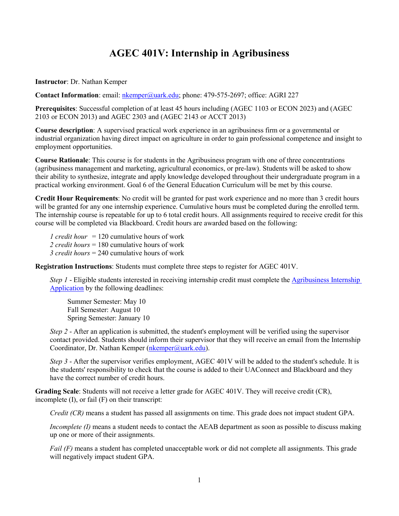## **AGEC 401V: Internship in Agribusiness**

**Instructor**: Dr. Nathan Kemper

**Contact Information**: email: [nkemper@uark.edu;](mailto:nkemper@uark.edu) phone: 479-575-2697; office: AGRI 227

**Prerequisites**: Successful completion of at least 45 hours including (AGEC 1103 or ECON 2023) and (AGEC 2103 or ECON 2013) and AGEC 2303 and (AGEC 2143 or ACCT 2013)

**Course description**: A supervised practical work experience in an agribusiness firm or a governmental or industrial organization having direct impact on agriculture in order to gain professional competence and insight to employment opportunities.

**Course Rationale**: This course is for students in the Agribusiness program with one of three concentrations (agribusiness management and marketing, agricultural economics, or pre-law). Students will be asked to show their ability to synthesize, integrate and apply knowledge developed throughout their undergraduate program in a practical working environment. Goal 6 of the General Education Curriculum will be met by this course.

**Credit Hour Requirements**: No credit will be granted for past work experience and no more than 3 credit hours will be granted for any one internship experience. Cumulative hours must be completed during the enrolled term. The internship course is repeatable for up to 6 total credit hours. All assignments required to receive credit for this course will be completed via Blackboard. Credit hours are awarded based on the following:

*1 credit hour* = 120 cumulative hours of work *2 credit hours* = 180 cumulative hours of work *3 credit hours* = 240 cumulative hours of work

**Registration Instructions**: Students must complete three steps to register for AGEC 401V.

*Step 1* - Eligible students interested in receiving internship credit must complete the Agribusiness Internship [Application](https://uark.qualtrics.com/jfe/form/SV_2rYtooHFeGJppqd) by the following deadlines:

Summer Semester: May 10 Fall Semester: August 10 Spring Semester: January 10

*Step 2* - After an application is submitted, the student's employment will be verified using the supervisor contact provided. Students should inform their supervisor that they will receive an email from the Internship Coordinator, Dr. Nathan Kemper [\(nkemper@uark.edu\)](mailto:nkemper@uark.edu).

*Step 3* - After the supervisor verifies employment, AGEC 401V will be added to the student's schedule. It is the students' responsibility to check that the course is added to their UAConnect and Blackboard and they have the correct number of credit hours.

**Grading Scale**: Students will not receive a letter grade for AGEC 401V. They will receive credit (CR), incomplete (I), or fail (F) on their transcript:

*Credit (CR)* means a student has passed all assignments on time. This grade does not impact student GPA.

*Incomplete (I)* means a student needs to contact the AEAB department as soon as possible to discuss making up one or more of their assignments.

*Fail* (F) means a student has completed unacceptable work or did not complete all assignments. This grade will negatively impact student GPA.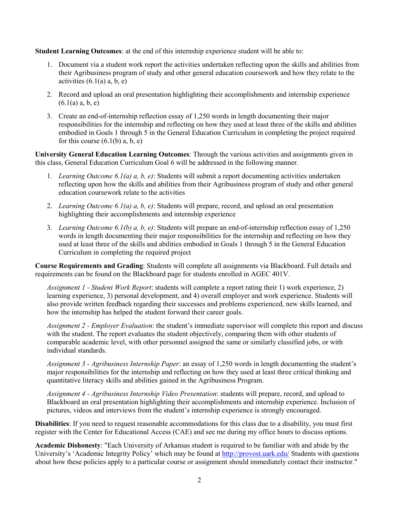**Student Learning Outcomes**: at the end of this internship experience student will be able to:

- 1. Document via a student work report the activities undertaken reflecting upon the skills and abilities from their Agribusiness program of study and other general education coursework and how they relate to the activities  $(6.1(a) a, b, e)$
- 2. Record and upload an oral presentation highlighting their accomplishments and internship experience  $(6.1(a) a, b, e)$
- 3. Create an end-of-internship reflection essay of 1,250 words in length documenting their major responsibilities for the internship and reflecting on how they used at least three of the skills and abilities embodied in Goals 1 through 5 in the General Education Curriculum in completing the project required for this course  $(6.1(b)$  a, b, e)

**University General Education Learning Outcomes**: Through the various activities and assignments given in this class, General Education Curriculum Goal 6 will be addressed in the following manner.

- 1. *Learning Outcome 6.1(a) a, b, e)*: Students will submit a report documenting activities undertaken reflecting upon how the skills and abilities from their Agribusiness program of study and other general education coursework relate to the activities
- 2. *Learning Outcome 6.1(a) a, b, e)*: Students will prepare, record, and upload an oral presentation highlighting their accomplishments and internship experience
- 3. *Learning Outcome 6.1(b) a, b, e)*: Students will prepare an end-of-internship reflection essay of 1,250 words in length documenting their major responsibilities for the internship and reflecting on how they used at least three of the skills and abilities embodied in Goals 1 through 5 in the General Education Curriculum in completing the required project

**Course Requirements and Grading**: Students will complete all assignments via Blackboard. Full details and requirements can be found on the Blackboard page for students enrolled in AGEC 401V.

*Assignment 1 - Student Work Report*: students will complete a report rating their 1) work experience, 2) learning experience, 3) personal development, and 4) overall employer and work experience. Students will also provide written feedback regarding their successes and problems experienced, new skills learned, and how the internship has helped the student forward their career goals.

*Assignment 2 - Employer Evaluation*: the student's immediate supervisor will complete this report and discuss with the student. The report evaluates the student objectively, comparing them with other students of comparable academic level, with other personnel assigned the same or similarly classified jobs, or with individual standards.

*Assignment 3 - Agribusiness Internship Paper*: an essay of 1,250 words in length documenting the student's major responsibilities for the internship and reflecting on how they used at least three critical thinking and quantitative literacy skills and abilities gained in the Agribusiness Program.

*Assignment 4 - Agribusiness Internship Video Presentation*: students will prepare, record, and upload to Blackboard an oral presentation highlighting their accomplishments and internship experience. Inclusion of pictures, videos and interviews from the student's internship experience is strongly encouraged.

**Disabilities**: If you need to request reasonable accommodations for this class due to a disability, you must first register with the Center for Educational Access (CAE) and see me during my office hours to discuss options.

**Academic Dishonesty**: "Each University of Arkansas student is required to be familiar with and abide by the University's 'Academic Integrity Policy' which may be found at<http://provost.uark.edu/> Students with questions about how these policies apply to a particular course or assignment should immediately contact their instructor."